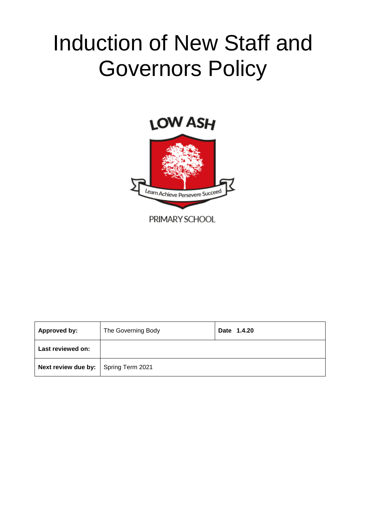# Induction of New Staff and Governors Policy



| Approved by:                                | The Governing Body | Date 1.4.20 |
|---------------------------------------------|--------------------|-------------|
| Last reviewed on:                           |                    |             |
| <b>Next review due by:</b> Spring Term 2021 |                    |             |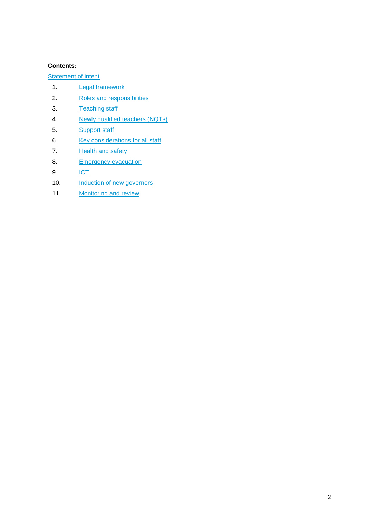#### **Contents:**

**[Statement of intent](#page-2-0)** 

- 1. [Legal framework](#page-2-1)
- 2. [Roles and responsibilities](#page-2-2)
- 3. [Teaching staff](#page-3-0)
- 4. [Newly qualified teachers \(NQTs\)](#page-3-1)
- 5. [Support staff](#page-4-0)
- 6. [Key considerations for all staff](#page-4-1)
- 7. [Health and safety](#page-5-0)
- 8. [Emergency evacuation](#page-6-0)
- 9. <u>[ICT](#page-6-1)</u>
- 10. [Induction of new governors](#page-6-2)
- 11. [Monitoring and review](#page-6-3)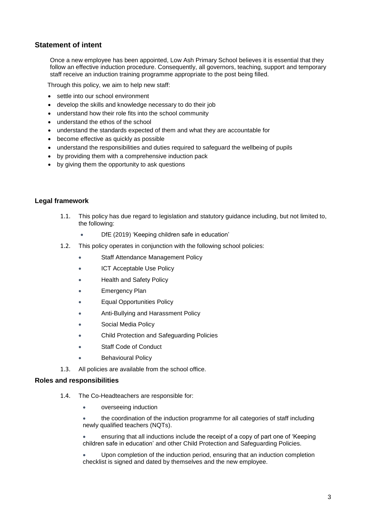# <span id="page-2-0"></span>**Statement of intent**

Once a new employee has been appointed, Low Ash Primary School believes it is essential that they follow an effective induction procedure. Consequently, all governors, teaching, support and temporary staff receive an induction training programme appropriate to the post being filled.

Through this policy, we aim to help new staff:

- settle into our school environment
- develop the skills and knowledge necessary to do their job
- understand how their role fits into the school community
- understand the ethos of the school
- understand the standards expected of them and what they are accountable for
- become effective as quickly as possible
- understand the responsibilities and duties required to safeguard the wellbeing of pupils
- by providing them with a comprehensive induction pack
- by giving them the opportunity to ask questions

## <span id="page-2-1"></span>**Legal framework**

- 1.1. This policy has due regard to legislation and statutory guidance including, but not limited to, the following:
	- DfE (2019) 'Keeping children safe in education'
- 1.2. This policy operates in conjunction with the following school policies:
	- Staff Attendance Management Policy
	- ICT Acceptable Use Policy
	- Health and Safety Policy
	- Emergency Plan
	- Equal Opportunities Policy
	- Anti-Bullying and Harassment Policy
	- Social Media Policy
	- Child Protection and Safeguarding Policies
	- Staff Code of Conduct
	- Behavioural Policy
- 1.3. All policies are available from the school office.

## <span id="page-2-2"></span>**Roles and responsibilities**

- 1.4. The Co-Headteachers are responsible for:
	- overseeing induction
	- the coordination of the induction programme for all categories of staff including newly qualified teachers (NQTs).

 ensuring that all inductions include the receipt of a copy of part one of 'Keeping children safe in education' and other Child Protection and Safeguarding Policies.

 Upon completion of the induction period, ensuring that an induction completion checklist is signed and dated by themselves and the new employee.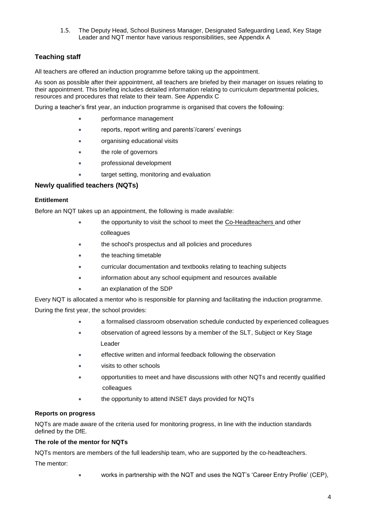1.5. The Deputy Head, School Business Manager, Designated Safeguarding Lead, Key Stage Leader and NQT mentor have various responsibilities, see Appendix A

# <span id="page-3-0"></span>**Teaching staff**

All teachers are offered an induction programme before taking up the appointment.

As soon as possible after their appointment, all teachers are briefed by their manager on issues relating to their appointment. This briefing includes detailed information relating to curriculum departmental policies, resources and procedures that relate to their team. See Appendix C

During a teacher's first year, an induction programme is organised that covers the following:

- performance management
- reports, report writing and parents'/carers' evenings
- organising educational visits
- the role of governors
- professional development
- target setting, monitoring and evaluation

#### <span id="page-3-1"></span>**Newly qualified teachers (NQTs)**

#### **Entitlement**

Before an NQT takes up an appointment, the following is made available:

- the opportunity to visit the school to meet the Co-Headteachers and other colleagues
- the school's prospectus and all policies and procedures
- the teaching timetable
- curricular documentation and textbooks relating to teaching subjects
- information about any school equipment and resources available
- an explanation of the SDP

Every NQT is allocated a mentor who is responsible for planning and facilitating the induction programme.

During the first year, the school provides:

- a formalised classroom observation schedule conducted by experienced colleagues
- observation of agreed lessons by a member of the SLT, Subject or Key Stage Leader
- effective written and informal feedback following the observation
- visits to other schools
- opportunities to meet and have discussions with other NQTs and recently qualified colleagues
- the opportunity to attend INSET days provided for NQTs

#### **Reports on progress**

NQTs are made aware of the criteria used for monitoring progress, in line with the induction standards defined by the DfE.

#### **The role of the mentor for NQTs**

NQTs mentors are members of the full leadership team, who are supported by the co-headteachers.

The mentor:

works in partnership with the NQT and uses the NQT's 'Career Entry Profile' (CEP),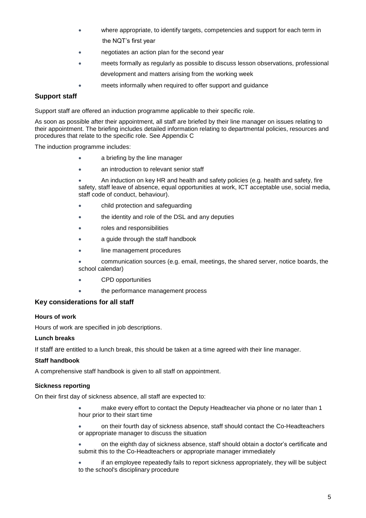- where appropriate, to identify targets, competencies and support for each term in the NQT's first year
- negotiates an action plan for the second year
- meets formally as regularly as possible to discuss lesson observations, professional development and matters arising from the working week
- meets informally when required to offer support and guidance

## <span id="page-4-0"></span>**Support staff**

Support staff are offered an induction programme applicable to their specific role.

As soon as possible after their appointment, all staff are briefed by their line manager on issues relating to their appointment. The briefing includes detailed information relating to departmental policies, resources and procedures that relate to the specific role. See Appendix C

The induction programme includes:

- a briefing by the line manager
- an introduction to relevant senior staff

 An induction on key HR and health and safety policies (e.g. health and safety, fire safety, staff leave of absence, equal opportunities at work, ICT acceptable use, social media, staff code of conduct, behaviour).

- child protection and safeguarding
- the identity and role of the DSL and any deputies
- roles and responsibilities
- a guide through the staff handbook
- line management procedures

 communication sources (e.g. email, meetings, the shared server, notice boards, the school calendar)

- CPD opportunities
- the performance management process

#### <span id="page-4-1"></span>**Key considerations for all staff**

#### **Hours of work**

Hours of work are specified in job descriptions.

#### **Lunch breaks**

If staff are entitled to a lunch break, this should be taken at a time agreed with their line manager.

#### **Staff handbook**

A comprehensive staff handbook is given to all staff on appointment.

#### **Sickness reporting**

On their first day of sickness absence, all staff are expected to:

 make every effort to contact the Deputy Headteacher via phone or no later than 1 hour prior to their start time

 on their fourth day of sickness absence, staff should contact the Co-Headteachers or appropriate manager to discuss the situation

- on the eighth day of sickness absence, staff should obtain a doctor's certificate and submit this to the Co-Headteachers or appropriate manager immediately
- if an employee repeatedly fails to report sickness appropriately, they will be subject to the school's disciplinary procedure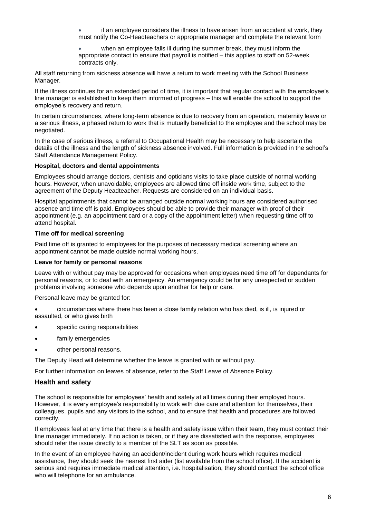if an employee considers the illness to have arisen from an accident at work, they must notify the Co-Headteachers or appropriate manager and complete the relevant form

 when an employee falls ill during the summer break, they must inform the appropriate contact to ensure that payroll is notified – this applies to staff on 52-week contracts only.

All staff returning from sickness absence will have a return to work meeting with the School Business Manager.

If the illness continues for an extended period of time, it is important that regular contact with the employee's line manager is established to keep them informed of progress – this will enable the school to support the employee's recovery and return.

In certain circumstances, where long-term absence is due to recovery from an operation, maternity leave or a serious illness, a phased return to work that is mutually beneficial to the employee and the school may be negotiated.

In the case of serious illness, a referral to Occupational Health may be necessary to help ascertain the details of the illness and the length of sickness absence involved. Full information is provided in the school's Staff Attendance Management Policy.

#### **Hospital, doctors and dental appointments**

Employees should arrange doctors, dentists and opticians visits to take place outside of normal working hours. However, when unavoidable, employees are allowed time off inside work time, subject to the agreement of the Deputy Headteacher. Requests are considered on an individual basis.

Hospital appointments that cannot be arranged outside normal working hours are considered authorised absence and time off is paid. Employees should be able to provide their manager with proof of their appointment (e.g. an appointment card or a copy of the appointment letter) when requesting time off to attend hospital.

#### **Time off for medical screening**

Paid time off is granted to employees for the purposes of necessary medical screening where an appointment cannot be made outside normal working hours.

#### **Leave for family or personal reasons**

Leave with or without pay may be approved for occasions when employees need time off for dependants for personal reasons, or to deal with an emergency. An emergency could be for any unexpected or sudden problems involving someone who depends upon another for help or care.

Personal leave may be granted for:

- circumstances where there has been a close family relation who has died, is ill, is injured or assaulted, or who gives birth
- specific caring responsibilities
- family emergencies
- other personal reasons.

The Deputy Head will determine whether the leave is granted with or without pay.

For further information on leaves of absence, refer to the Staff Leave of Absence Policy.

#### <span id="page-5-0"></span>**Health and safety**

The school is responsible for employees' health and safety at all times during their employed hours. However, it is every employee's responsibility to work with due care and attention for themselves, their colleagues, pupils and any visitors to the school, and to ensure that health and procedures are followed correctly.

If employees feel at any time that there is a health and safety issue within their team, they must contact their line manager immediately. If no action is taken, or if they are dissatisfied with the response, employees should refer the issue directly to a member of the SLT as soon as possible.

In the event of an employee having an accident/incident during work hours which requires medical assistance, they should seek the nearest first aider (list available from the school office). If the accident is serious and requires immediate medical attention, i.e. hospitalisation, they should contact the school office who will telephone for an ambulance.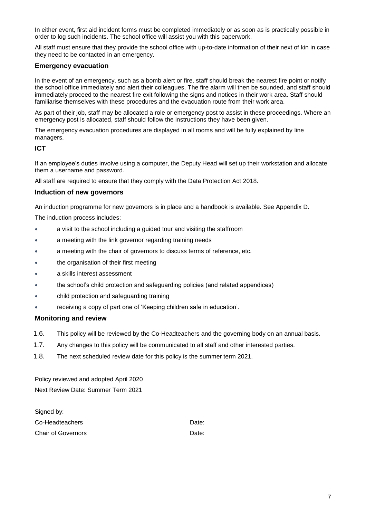In either event, first aid incident forms must be completed immediately or as soon as is practically possible in order to log such incidents. The school office will assist you with this paperwork.

All staff must ensure that they provide the school office with up-to-date information of their next of kin in case they need to be contacted in an emergency.

#### <span id="page-6-0"></span>**Emergency evacuation**

In the event of an emergency, such as a bomb alert or fire, staff should break the nearest fire point or notify the school office immediately and alert their colleagues. The fire alarm will then be sounded, and staff should immediately proceed to the nearest fire exit following the signs and notices in their work area. Staff should familiarise themselves with these procedures and the evacuation route from their work area.

As part of their job, staff may be allocated a role or emergency post to assist in these proceedings. Where an emergency post is allocated, staff should follow the instructions they have been given.

The emergency evacuation procedures are displayed in all rooms and will be fully explained by line managers.

#### <span id="page-6-1"></span>**ICT**

If an employee's duties involve using a computer, the Deputy Head will set up their workstation and allocate them a username and password.

All staff are required to ensure that they comply with the Data Protection Act 2018.

#### <span id="page-6-2"></span>**Induction of new governors**

An induction programme for new governors is in place and a handbook is available. See Appendix D.

The induction process includes:

- a visit to the school including a guided tour and visiting the staffroom
- a meeting with the link governor regarding training needs
- a meeting with the chair of governors to discuss terms of reference, etc.
- the organisation of their first meeting
- a skills interest assessment
- the school's child protection and safeguarding policies (and related appendices)
- child protection and safeguarding training
- receiving a copy of part one of 'Keeping children safe in education'.

#### <span id="page-6-3"></span>**Monitoring and review**

- 1.6. This policy will be reviewed by the Co-Headteachers and the governing body on an annual basis.
- 1.7. Any changes to this policy will be communicated to all staff and other interested parties.
- 1.8. The next scheduled review date for this policy is the summer term 2021.

Policy reviewed and adopted April 2020 Next Review Date: Summer Term 2021

| Signed by:                |       |
|---------------------------|-------|
| Co-Headteachers           | Date: |
| <b>Chair of Governors</b> | Date: |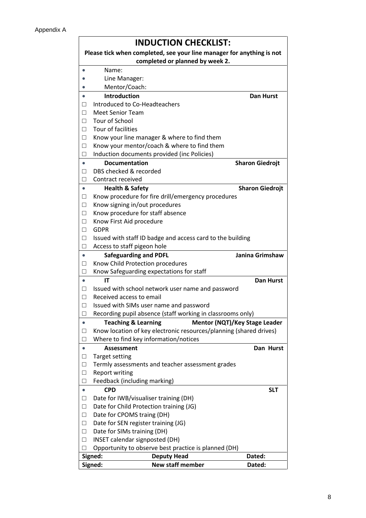| <b>INDUCTION CHECKLIST:</b>                                           |                                                                    |                                      |  |  |
|-----------------------------------------------------------------------|--------------------------------------------------------------------|--------------------------------------|--|--|
| Please tick when completed, see your line manager for anything is not |                                                                    |                                      |  |  |
| completed or planned by week 2.                                       |                                                                    |                                      |  |  |
|                                                                       | Name:                                                              |                                      |  |  |
|                                                                       | Line Manager:                                                      |                                      |  |  |
|                                                                       | Mentor/Coach:                                                      |                                      |  |  |
|                                                                       | <b>Introduction</b>                                                | <b>Dan Hurst</b>                     |  |  |
| □                                                                     | Introduced to Co-Headteachers                                      |                                      |  |  |
| □                                                                     | <b>Meet Senior Team</b>                                            |                                      |  |  |
| □                                                                     | Tour of School                                                     |                                      |  |  |
| □                                                                     | Tour of facilities                                                 |                                      |  |  |
| П                                                                     | Know your line manager & where to find them                        |                                      |  |  |
| П                                                                     | Know your mentor/coach & where to find them                        |                                      |  |  |
| □                                                                     | Induction documents provided (inc Policies)                        |                                      |  |  |
| $\bullet$                                                             | <b>Documentation</b>                                               | <b>Sharon Giedrojt</b>               |  |  |
| □                                                                     | DBS checked & recorded                                             |                                      |  |  |
| П                                                                     | Contract received                                                  |                                      |  |  |
| $\bullet$                                                             | <b>Health &amp; Safety</b>                                         | <b>Sharon Giedrojt</b>               |  |  |
| □                                                                     | Know procedure for fire drill/emergency procedures                 |                                      |  |  |
| □                                                                     | Know signing in/out procedures                                     |                                      |  |  |
| □                                                                     | Know procedure for staff absence                                   |                                      |  |  |
| П                                                                     | Know First Aid procedure                                           |                                      |  |  |
| П                                                                     | <b>GDPR</b>                                                        |                                      |  |  |
| □                                                                     | Issued with staff ID badge and access card to the building         |                                      |  |  |
| □                                                                     | Access to staff pigeon hole                                        |                                      |  |  |
|                                                                       | <b>Safeguarding and PDFL</b>                                       |                                      |  |  |
|                                                                       |                                                                    | Janina Grimshaw                      |  |  |
| □                                                                     | Know Child Protection procedures                                   |                                      |  |  |
| □                                                                     | Know Safeguarding expectations for staff                           |                                      |  |  |
| $\bullet$                                                             | IT                                                                 | <b>Dan Hurst</b>                     |  |  |
| $\Box$                                                                | Issued with school network user name and password                  |                                      |  |  |
| □                                                                     | Received access to email                                           |                                      |  |  |
| □                                                                     | Issued with SIMs user name and password                            |                                      |  |  |
| $\Box$                                                                | Recording pupil absence (staff working in classrooms only)         |                                      |  |  |
| $\bullet$                                                             | <b>Teaching &amp; Learning</b>                                     | <b>Mentor (NQT)/Key Stage Leader</b> |  |  |
| □                                                                     | Know location of key electronic resources/planning (shared drives) |                                      |  |  |
| □                                                                     | Where to find key information/notices                              |                                      |  |  |
| $\bullet$                                                             | <b>Assessment</b>                                                  | Dan Hurst                            |  |  |
| $\Box$                                                                | <b>Target setting</b>                                              |                                      |  |  |
| $\Box$                                                                | Termly assessments and teacher assessment grades                   |                                      |  |  |
| □                                                                     | <b>Report writing</b>                                              |                                      |  |  |
| П                                                                     | Feedback (including marking)                                       |                                      |  |  |
| $\bullet$                                                             | <b>CPD</b>                                                         | <b>SLT</b>                           |  |  |
| □                                                                     | Date for IWB/visualiser training (DH)                              |                                      |  |  |
| □                                                                     | Date for Child Protection training (JG)                            |                                      |  |  |
| $\Box$                                                                | Date for CPOMS traing (DH)                                         |                                      |  |  |
| $\Box$                                                                | Date for SEN register training (JG)                                |                                      |  |  |
| $\Box$                                                                | Date for SIMs training (DH)                                        |                                      |  |  |
| □                                                                     | INSET calendar signposted (DH)                                     |                                      |  |  |
| П                                                                     | Opportunity to observe best practice is planned (DH)               |                                      |  |  |
|                                                                       | Signed:<br><b>Deputy Head</b>                                      | Dated:                               |  |  |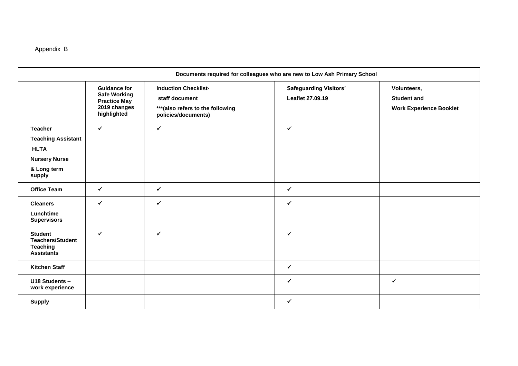| Documents required for colleagues who are new to Low Ash Primary School                                     |                                                                                                  |                                                                                                           |                                                   |                                                                     |
|-------------------------------------------------------------------------------------------------------------|--------------------------------------------------------------------------------------------------|-----------------------------------------------------------------------------------------------------------|---------------------------------------------------|---------------------------------------------------------------------|
|                                                                                                             | <b>Guidance for</b><br><b>Safe Working</b><br><b>Practice May</b><br>2019 changes<br>highlighted | <b>Induction Checklist-</b><br>staff document<br>*** (also refers to the following<br>policies/documents) | <b>Safeguarding Visitors'</b><br>Leaflet 27.09.19 | Volunteers,<br><b>Student and</b><br><b>Work Experience Booklet</b> |
| <b>Teacher</b><br><b>Teaching Assistant</b><br><b>HLTA</b><br><b>Nursery Nurse</b><br>& Long term<br>supply | $\checkmark$                                                                                     | $\checkmark$                                                                                              | $\checkmark$                                      |                                                                     |
| <b>Office Team</b>                                                                                          | $\checkmark$                                                                                     | $\checkmark$                                                                                              | $\checkmark$                                      |                                                                     |
| <b>Cleaners</b><br>Lunchtime<br><b>Supervisors</b>                                                          | $\checkmark$                                                                                     | $\checkmark$                                                                                              | ✓                                                 |                                                                     |
| <b>Student</b><br><b>Teachers/Student</b><br><b>Teaching</b><br><b>Assistants</b>                           | $\checkmark$                                                                                     | ✓                                                                                                         | ✓                                                 |                                                                     |
| <b>Kitchen Staff</b>                                                                                        |                                                                                                  |                                                                                                           | $\checkmark$                                      |                                                                     |
| U18 Students -<br>work experience                                                                           |                                                                                                  |                                                                                                           | ✓                                                 | $\checkmark$                                                        |
| <b>Supply</b>                                                                                               |                                                                                                  |                                                                                                           | ✓                                                 |                                                                     |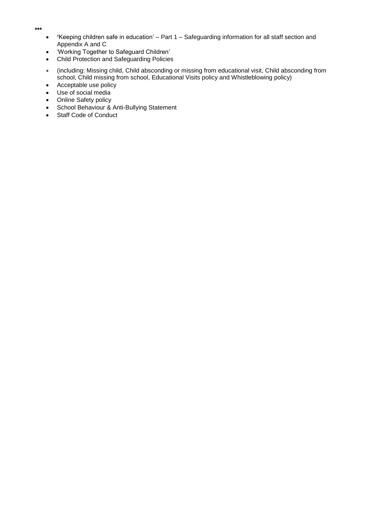**\*\*\***

- **'**Keeping children safe in education' Part 1 Safeguarding information for all staff section and Appendix A and C
- 'Working Together to Safeguard Children'
- Child Protection and Safeguarding Policies
- (including: Missing child, Child absconding or missing from educational visit, Child absconding from school, Child missing from school, Educational Visits policy and Whistleblowing policy)
- Acceptable use policy
- Use of social media
- Online Safety policy
- School Behaviour & Anti-Bullying Statement
- Staff Code of Conduct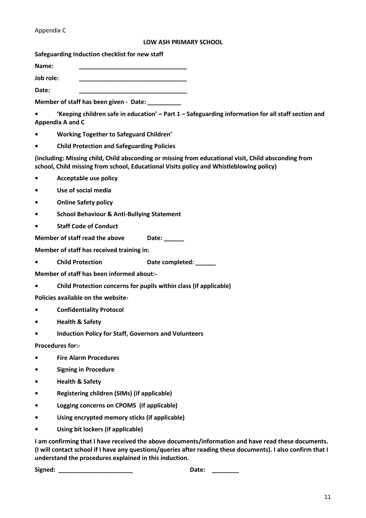Appendix C

#### **LOW ASH PRIMARY SCHOOL**

**Safeguarding Induction checklist for new staff** 

**Name: \_\_\_\_\_\_\_\_\_\_\_\_\_\_\_\_\_\_\_\_\_\_\_\_\_\_\_\_\_\_\_\_** 

**Job role: \_\_\_\_\_\_\_\_\_\_\_\_\_\_\_\_\_\_\_\_\_\_\_\_\_\_\_\_\_\_\_\_ Date: \_\_\_\_\_\_\_\_\_\_\_\_\_\_\_\_\_\_\_\_\_\_\_\_\_\_\_\_\_\_\_\_**

**Member of staff has been given - Date:** 

**• 'Keeping children safe in education' – Part 1 – Safeguarding information for all staff section and Appendix A and C**

- **• Working Together to Safeguard Children'**
- **• Child Protection and Safeguarding Policies**

**(including: Missing child, Child absconding or missing from educational visit, Child absconding from school, Child missing from school, Educational Visits policy and Whistleblowing policy)**

- **• Acceptable use policy**
- **• Use of social media**
- **• Online Safety policy**
- **• School Behaviour & Anti-Bullying Statement**
- **• Staff Code of Conduct**

**Member of staff read the above Date: \_\_\_\_\_\_** 

**Member of staff has received training in:**

**•** Child Protection Date completed: \_\_\_\_\_

**Member of staff has been informed about:-**

**• Child Protection concerns for pupils within class (if applicable)**

**Policies available on the website-**

- **• Confidentiality Protocol**
- **• Health & Safety**
- **• Induction Policy for Staff, Governors and Volunteers**

**Procedures for:-**

- **• Fire Alarm Procedures**
- **• Signing in Procedure**
- **• Health & Safety**
- **• Registering children (SIMs) (if applicable)**
- **• Logging concerns on CPOMS (if applicable)**
- **• Using encrypted memory sticks (if applicable)**
- **• Using bit lockers (if applicable)**

**I am confirming that I have received the above documents/information and have read these documents. (I will contact school if I have any questions/queries after reading these documents). I also confirm that I understand the procedures explained in this induction.** 

**Signed: \_\_\_\_\_\_\_\_\_\_\_\_\_\_\_\_\_\_\_\_\_\_ Date: \_\_\_\_\_\_\_\_**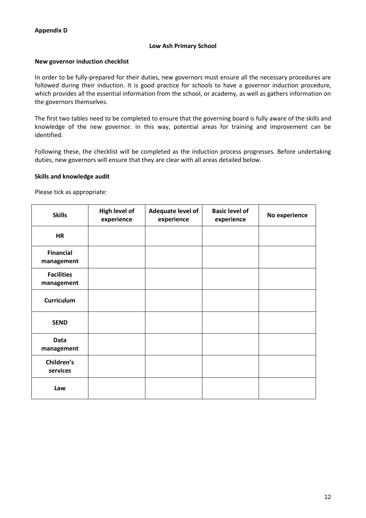#### **Low Ash Primary School**

#### **New governor induction checklist**

In order to be fully-prepared for their duties, new governors must ensure all the necessary procedures are followed during their induction. It is good practice for schools to have a governor induction procedure, which provides all the essential information from the school, or academy, as well as gathers information on the governors themselves.

The first two tables need to be completed to ensure that the governing board is fully aware of the skills and knowledge of the new governor. In this way, potential areas for training and improvement can be identified.

Following these, the checklist will be completed as the induction process progresses. Before undertaking duties, new governors will ensure that they are clear with all areas detailed below.

#### **Skills and knowledge audit**

Please tick as appropriate:

| <b>Skills</b>                   | High level of<br>experience | Adequate level of<br>experience | <b>Basic level of</b><br>experience | No experience |
|---------------------------------|-----------------------------|---------------------------------|-------------------------------------|---------------|
| <b>HR</b>                       |                             |                                 |                                     |               |
| <b>Financial</b><br>management  |                             |                                 |                                     |               |
| <b>Facilities</b><br>management |                             |                                 |                                     |               |
| <b>Curriculum</b>               |                             |                                 |                                     |               |
| <b>SEND</b>                     |                             |                                 |                                     |               |
| <b>Data</b><br>management       |                             |                                 |                                     |               |
| Children's<br>services          |                             |                                 |                                     |               |
| Law                             |                             |                                 |                                     |               |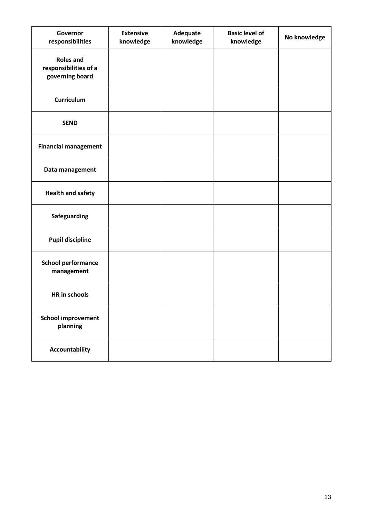| Governor<br>responsibilities                                 | <b>Extensive</b><br>knowledge | Adequate<br>knowledge | <b>Basic level of</b><br>knowledge | No knowledge |
|--------------------------------------------------------------|-------------------------------|-----------------------|------------------------------------|--------------|
| <b>Roles and</b><br>responsibilities of a<br>governing board |                               |                       |                                    |              |
| <b>Curriculum</b>                                            |                               |                       |                                    |              |
| <b>SEND</b>                                                  |                               |                       |                                    |              |
| <b>Financial management</b>                                  |                               |                       |                                    |              |
| Data management                                              |                               |                       |                                    |              |
| <b>Health and safety</b>                                     |                               |                       |                                    |              |
| Safeguarding                                                 |                               |                       |                                    |              |
| <b>Pupil discipline</b>                                      |                               |                       |                                    |              |
| <b>School performance</b><br>management                      |                               |                       |                                    |              |
| <b>HR</b> in schools                                         |                               |                       |                                    |              |
| <b>School improvement</b><br>planning                        |                               |                       |                                    |              |
| <b>Accountability</b>                                        |                               |                       |                                    |              |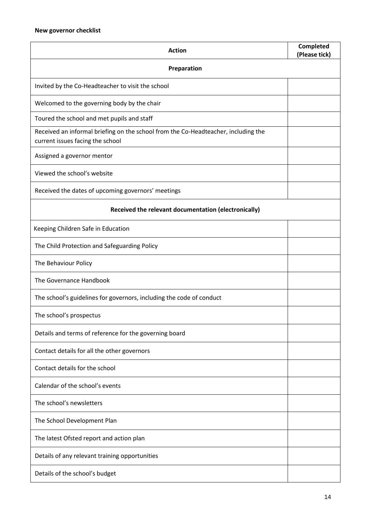| <b>Action</b>                                                                                                          | Completed<br>(Please tick) |  |  |
|------------------------------------------------------------------------------------------------------------------------|----------------------------|--|--|
| Preparation                                                                                                            |                            |  |  |
| Invited by the Co-Headteacher to visit the school                                                                      |                            |  |  |
| Welcomed to the governing body by the chair                                                                            |                            |  |  |
| Toured the school and met pupils and staff                                                                             |                            |  |  |
| Received an informal briefing on the school from the Co-Headteacher, including the<br>current issues facing the school |                            |  |  |
| Assigned a governor mentor                                                                                             |                            |  |  |
| Viewed the school's website                                                                                            |                            |  |  |
| Received the dates of upcoming governors' meetings                                                                     |                            |  |  |
| Received the relevant documentation (electronically)                                                                   |                            |  |  |
| Keeping Children Safe in Education                                                                                     |                            |  |  |
| The Child Protection and Safeguarding Policy                                                                           |                            |  |  |
| The Behaviour Policy                                                                                                   |                            |  |  |
| The Governance Handbook                                                                                                |                            |  |  |
| The school's guidelines for governors, including the code of conduct                                                   |                            |  |  |
| The school's prospectus                                                                                                |                            |  |  |
| Details and terms of reference for the governing board                                                                 |                            |  |  |
| Contact details for all the other governors                                                                            |                            |  |  |
| Contact details for the school                                                                                         |                            |  |  |
| Calendar of the school's events                                                                                        |                            |  |  |
| The school's newsletters                                                                                               |                            |  |  |
| The School Development Plan                                                                                            |                            |  |  |
| The latest Ofsted report and action plan                                                                               |                            |  |  |
| Details of any relevant training opportunities                                                                         |                            |  |  |
| Details of the school's budget                                                                                         |                            |  |  |